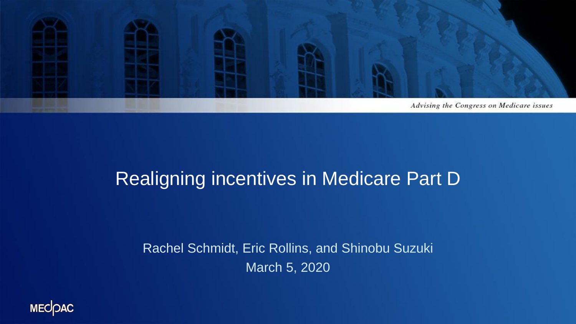

#### Realigning incentives in Medicare Part D

Rachel Schmidt, Eric Rollins, and Shinobu Suzuki March 5, 2020

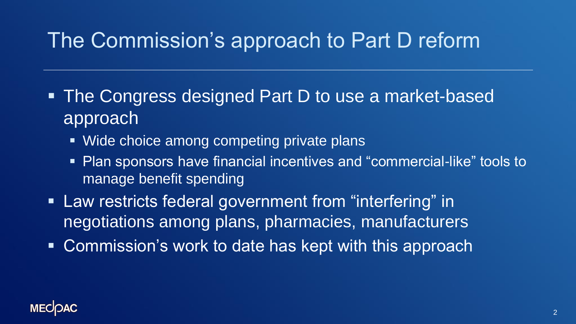## The Commission's approach to Part D reform

- The Congress designed Part D to use a market-based approach
	- Wide choice among competing private plans
	- Plan sponsors have financial incentives and "commercial-like" tools to manage benefit spending
- **Example 20 Figure 10 Figure 10 Figure 10 Figure 10 Figure 10 Figure 10 Figure 10 Figure 10 Figure 10 Figure 10** negotiations among plans, pharmacies, manufacturers
- Commission's work to date has kept with this approach

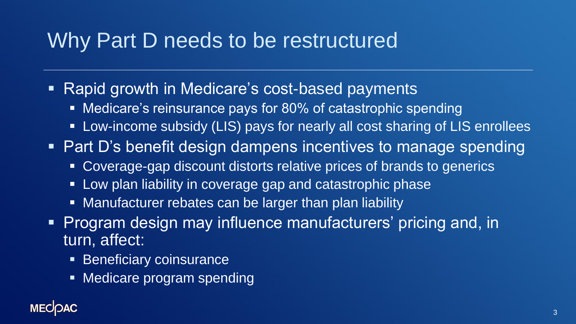#### Why Part D needs to be restructured

- Rapid growth in Medicare's cost-based payments
	- Medicare's reinsurance pays for 80% of catastrophic spending
	- Low-income subsidy (LIS) pays for nearly all cost sharing of LIS enrollees
- Part D's benefit design dampens incentives to manage spending
	- Coverage-gap discount distorts relative prices of brands to generics
	- **. Low plan liability in coverage gap and catastrophic phase**
	- Manufacturer rebates can be larger than plan liability
- **Program design may influence manufacturers' pricing and, in** turn, affect:
	- **Exercificary coinsurance**
	- Medicare program spending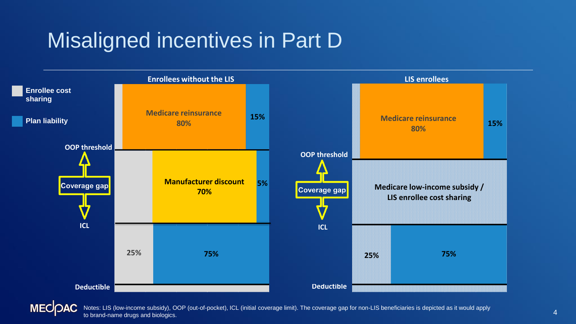### Misaligned incentives in Part D



**MECOAC** Notes: LIS (low-income subsidy), OOP (out-of-pocket), ICL (initial coverage limit). The coverage gap for non-LIS beneficiaries is depicted as it would apply to brand-name drugs and biologics.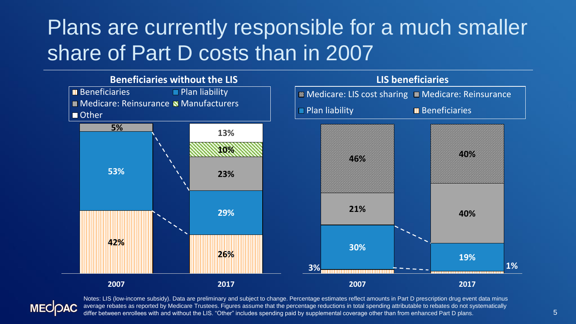## Plans are currently responsible for a much smaller share of Part D costs than in 2007





Notes: LIS (low-income subsidy). Data are preliminary and subject to change. Percentage estimates reflect amounts in Part D prescription drug event data minus average rebates as reported by Medicare Trustees. Figures assume that the percentage reductions in total spending attributable to rebates do not systematically differ between enrollees with and without the LIS. "Other" includes spending paid by supplemental coverage other than from enhanced Part D plans.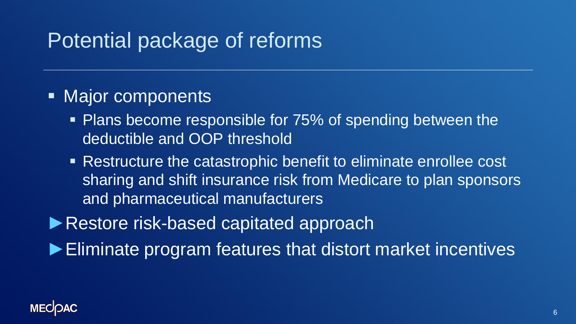### Potential package of reforms

#### ■ Major components

- **Plans become responsible for 75% of spending between the** deductible and OOP threshold
- Restructure the catastrophic benefit to eliminate enrollee cost sharing and shift insurance risk from Medicare to plan sponsors and pharmaceutical manufacturers
- ►Restore risk-based capitated approach
- ►Eliminate program features that distort market incentives

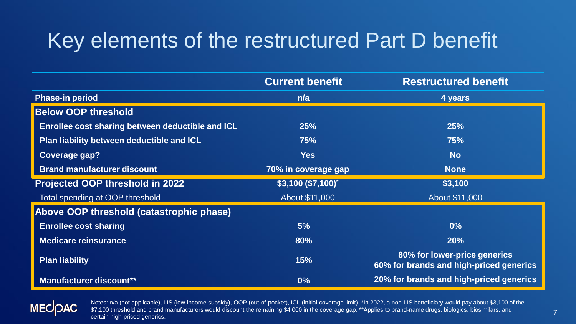# Key elements of the restructured Part D benefit

|                                                  | <b>Current benefit</b> | <b>Restructured benefit</b>                                             |
|--------------------------------------------------|------------------------|-------------------------------------------------------------------------|
| <b>Phase-in period</b>                           | n/a                    | 4 years                                                                 |
| <b>Below OOP threshold</b>                       |                        |                                                                         |
| Enrollee cost sharing between deductible and ICL | 25%                    | 25%                                                                     |
| Plan liability between deductible and ICL        | 75%                    | 75%                                                                     |
| <b>Coverage gap?</b>                             | <b>Yes</b>             | <b>No</b>                                                               |
| <b>Brand manufacturer discount</b>               | 70% in coverage gap    | <b>None</b>                                                             |
| Projected OOP threshold in 2022                  | $$3,100 ($7,100)^*$    | \$3,100                                                                 |
| Total spending at OOP threshold                  | About \$11,000         | About \$11,000                                                          |
| Above OOP threshold (catastrophic phase)         |                        |                                                                         |
| <b>Enrollee cost sharing</b>                     | 5%                     | $0\%$                                                                   |
| <b>Medicare reinsurance</b>                      | 80%                    | 20%                                                                     |
| <b>Plan liability</b>                            | 15%                    | 80% for lower-price generics<br>60% for brands and high-priced generics |
| <b>Manufacturer discount**</b>                   | 0%                     | 20% for brands and high-priced generics                                 |



Notes: n/a (not applicable), LIS (low-income subsidy), OOP (out-of-pocket), ICL (initial coverage limit). \*In 2022, a non-LIS beneficiary would pay about \$3,100 of the \$7,100 threshold and brand manufacturers would discount the remaining \$4,000 in the coverage gap. \*\*Applies to brand-name drugs, biologics, biosimilars, and certain high-priced generics.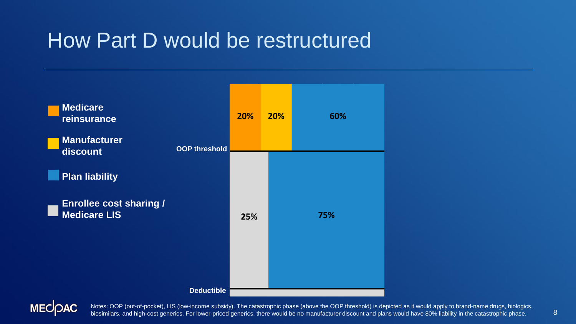#### How Part D would be restructured





Notes: OOP (out-of-pocket), LIS (low-income subsidy). The catastrophic phase (above the OOP threshold) is depicted as it would apply to brand-name drugs, biologics, biosimilars, and high-cost generics. For lower-priced generics, there would be no manufacturer discount and plans would have 80% liability in the catastrophic phase.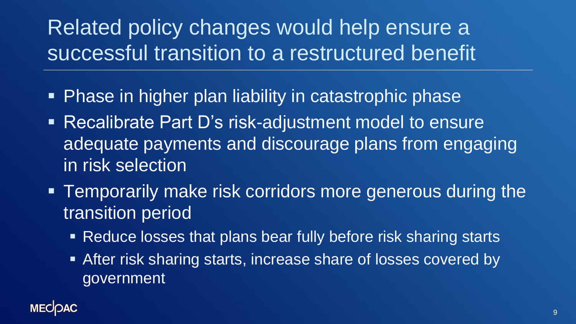# Related policy changes would help ensure a successful transition to a restructured benefit

- **Phase in higher plan liability in catastrophic phase**
- Recalibrate Part D's risk-adjustment model to ensure adequate payments and discourage plans from engaging in risk selection
- **EXAMPE TEMPORARY THEORY MAKE FISK CORTLOOTS MOTE generous during the** transition period
	- Reduce losses that plans bear fully before risk sharing starts
	- **EXTER FILTER SHART AT START STARTS INCREASE SHATE Of losses covered by** government

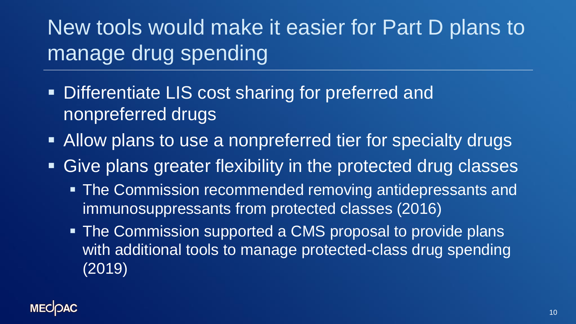New tools would make it easier for Part D plans to manage drug spending

- **. Differentiate LIS cost sharing for preferred and** nonpreferred drugs
- Allow plans to use a nonpreferred tier for specialty drugs
- **Example 2 Five plans greater flexibility in the protected drug classes** 
	- **The Commission recommended removing antidepressants and** immunosuppressants from protected classes (2016)
	- **The Commission supported a CMS proposal to provide plans** with additional tools to manage protected-class drug spending (2019)

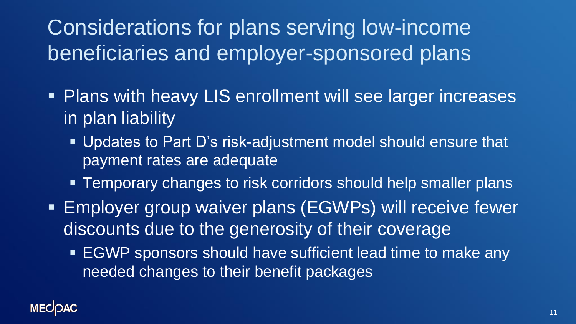Considerations for plans serving low-income beneficiaries and employer-sponsored plans

- Plans with heavy LIS enrollment will see larger increases in plan liability
	- Updates to Part D's risk-adjustment model should ensure that payment rates are adequate
	- **EXTERUM** Temporary changes to risk corridors should help smaller plans
- **Employer group waiver plans (EGWPs) will receive fewer** discounts due to the generosity of their coverage
	- EGWP sponsors should have sufficient lead time to make any needed changes to their benefit packages